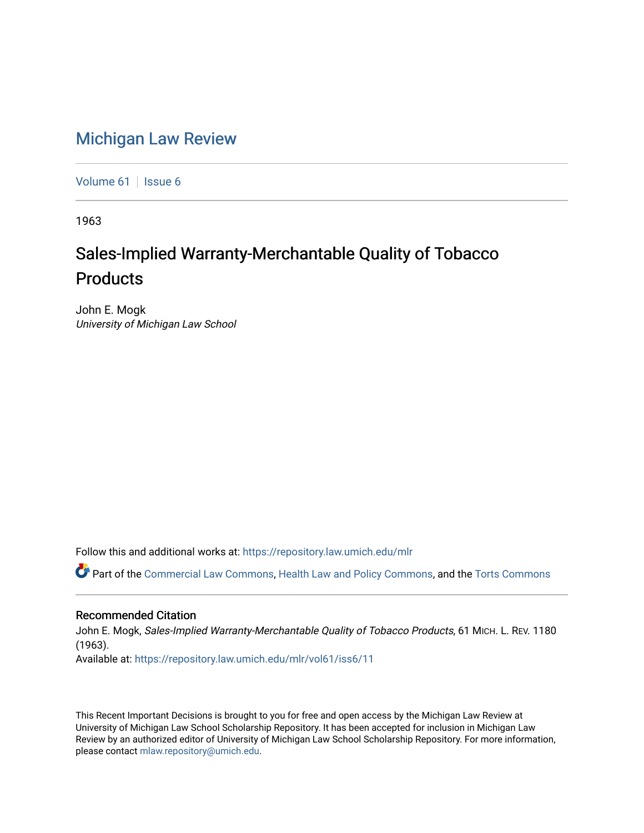## [Michigan Law Review](https://repository.law.umich.edu/mlr)

[Volume 61](https://repository.law.umich.edu/mlr/vol61) | [Issue 6](https://repository.law.umich.edu/mlr/vol61/iss6)

1963

## Sales-Implied Warranty-Merchantable Quality of Tobacco **Products**

John E. Mogk University of Michigan Law School

Follow this and additional works at: [https://repository.law.umich.edu/mlr](https://repository.law.umich.edu/mlr?utm_source=repository.law.umich.edu%2Fmlr%2Fvol61%2Fiss6%2F11&utm_medium=PDF&utm_campaign=PDFCoverPages) 

Part of the [Commercial Law Commons](http://network.bepress.com/hgg/discipline/586?utm_source=repository.law.umich.edu%2Fmlr%2Fvol61%2Fiss6%2F11&utm_medium=PDF&utm_campaign=PDFCoverPages), [Health Law and Policy Commons,](http://network.bepress.com/hgg/discipline/901?utm_source=repository.law.umich.edu%2Fmlr%2Fvol61%2Fiss6%2F11&utm_medium=PDF&utm_campaign=PDFCoverPages) and the [Torts Commons](http://network.bepress.com/hgg/discipline/913?utm_source=repository.law.umich.edu%2Fmlr%2Fvol61%2Fiss6%2F11&utm_medium=PDF&utm_campaign=PDFCoverPages) 

## Recommended Citation

John E. Mogk, Sales-Implied Warranty-Merchantable Quality of Tobacco Products, 61 MICH. L. REV. 1180 (1963). Available at: [https://repository.law.umich.edu/mlr/vol61/iss6/11](https://repository.law.umich.edu/mlr/vol61/iss6/11?utm_source=repository.law.umich.edu%2Fmlr%2Fvol61%2Fiss6%2F11&utm_medium=PDF&utm_campaign=PDFCoverPages) 

This Recent Important Decisions is brought to you for free and open access by the Michigan Law Review at University of Michigan Law School Scholarship Repository. It has been accepted for inclusion in Michigan Law Review by an authorized editor of University of Michigan Law School Scholarship Repository. For more information, please contact [mlaw.repository@umich.edu.](mailto:mlaw.repository@umich.edu)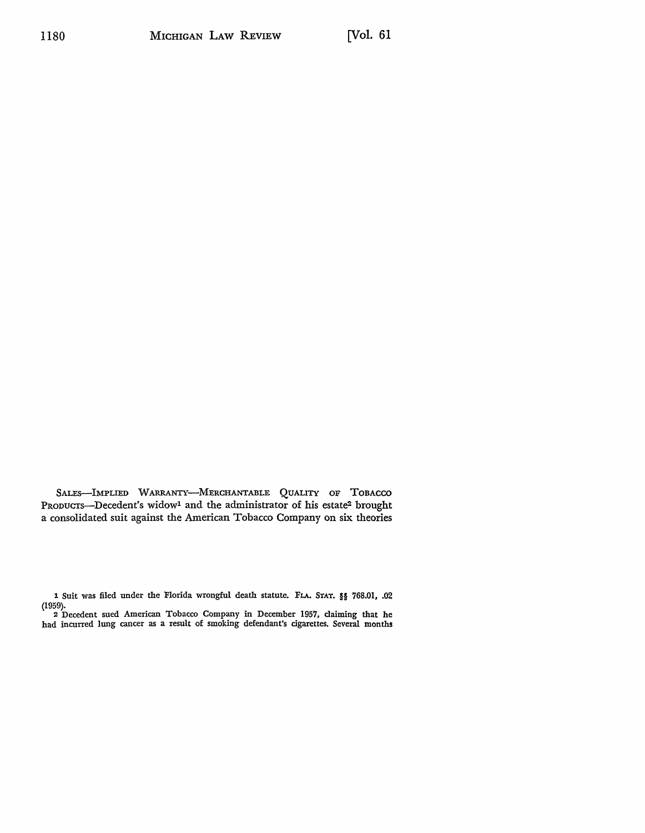SALES-IMPLIED WARRANTY-MERCHANTABLE QUALITY OF TOBACCO PRODUCTS-Decedent's widow<sup>1</sup> and the administrator of his estate<sup>2</sup> brought a consolidated suit against the American Tobacco Company on six theories

1 Suit was filed under the Florida wrongful death statute. FLA. STAT. §§ 768.01, .02 (1959). 2 Decedent sued American Tobacco Company in December 1957, claiming that he

had incurred lung cancer as a result of smoking defendant's cigarettes. Several months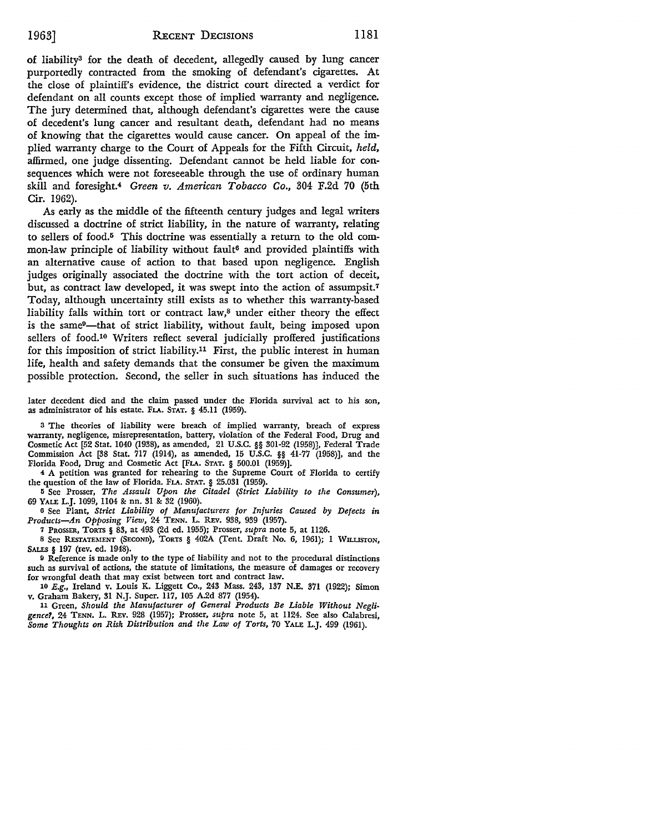of liability3 for the death of decedent, allegedly caused by lung cancer purportedly contracted from the smoking of defendant's cigarettes. At the close of plaintiff's evidence, the district court directed a verdict for defendant on all counts except those of implied warranty and negligence. The jury determined that, although defendant's cigarettes were the cause of decedent's lung cancer and resultant death, defendant had no means of knowing that the cigarettes would cause cancer. On appeal of the implied warranty charge to the Court of Appeals for the Fifth Circuit, *held,*  affirmed, one judge dissenting. Defendant cannot be held liable for consequences which were not foreseeable through the use of ordinary human skill and foresight.4 *Green v. American Tobacco Co.,* 304 F.2d 70 (5th Cir. 1962).

As early as the middle of the fifteenth century judges and legal writers discussed a doctrine of strict liability, in the nature of warranty, relating to sellers of food.5 This doctrine was essentially a return to the old common-law principle of liability without fault<sup>6</sup> and provided plaintiffs with an alternative cause of action to that based upon negligence. English judges originally associated the doctrine with the tort action of deceit, but, as contract law developed, it was swept into the action of assumpsit.<sup>7</sup> Today, although uncertainty still exists as to whether this warranty-based liability falls within tort or contract law,8 under either theory the effect is the same<sup>9</sup>—that of strict liability, without fault, being imposed upon sellers of food.10 Writers reflect several judicially proffered justifications for this imposition of strict liability.11 First, the public interest in human life, health and safety demands that the consumer be given the maximum possible protection. Second, the seller in such situations has induced the

later decedent died and the claim passed under the Florida survival act to his son, as administrator of his estate. FLA. STAT. § 45.11 (1959).

<sup>3</sup>The theories of liability were breach of implied warranty, breach of express warranty, negligence, misrepresentation, battery, violation of the Federal Food, Drug and Cosmetic Act [52 Stat. 1040 (1938), as amended, 21 U.S.C. §§ 301-92 (1958)], Federal Trade Commission Act [38 Stat. 717 (1914), as amended, 15 U.S.C. §§ 41-77 (1958)], and the Florida Food, Drug and Cosmetic Act (FLA. STAT. § 500.01 (1959)].

4 A petition was granted for rehearing to the Supreme Court of Florida to certify the question of the law of Florida. FLA. STAT. § 25.031 (1959).

5 See Prosser, *The Assault Upon the Citadel (Strict Liability to the Consumer),*  69 YALE L.J. 1099, 1104 & nn. 31 & 32 (1960).

<sup>6</sup>See Plant, *Strict Liability of Manufacturers for Injuries Caused by Defects in Products-An Opposing View,* 24 TENN. L. REv. 938, 939 (1957).

<sup>7</sup>PROSSER, TORTS § 83, at 493 (2d ed. 1955); Prosser, *supra* note 5, at 1126.

8 See RESTATEMENT (SECOND), TORTS § 402A (Tent. Draft No. 6, 1961); 1 WILLISTON, SALES § 197 (rev. ed. 1948).

fl Reference is made only to the type of liability and not to the procedural distinctions such as survival of actions, the statute of limitations, the measure of damages or recovery for wrongful death that may exist between tort and contract law.

10 E.g., Ireland v. Louis K. Liggett Co., 243 Mass. 243, 137 N.E. 371 (1922); Simon v. Graham Bakery, 31 N.J. Super. 117, 105 A.2d 877 (1954).

11 Green, *Should the Manufacturer of General Products Be Liable Without Negligence1,* 24 TENN. L. REv. 928 (1957); Prosser, *supra* note 5, at 1124. See also Calabresi, *Some Thoughts on Risk Distribution and the Law of Torts,* 70 YALE L.J. 499 (1961).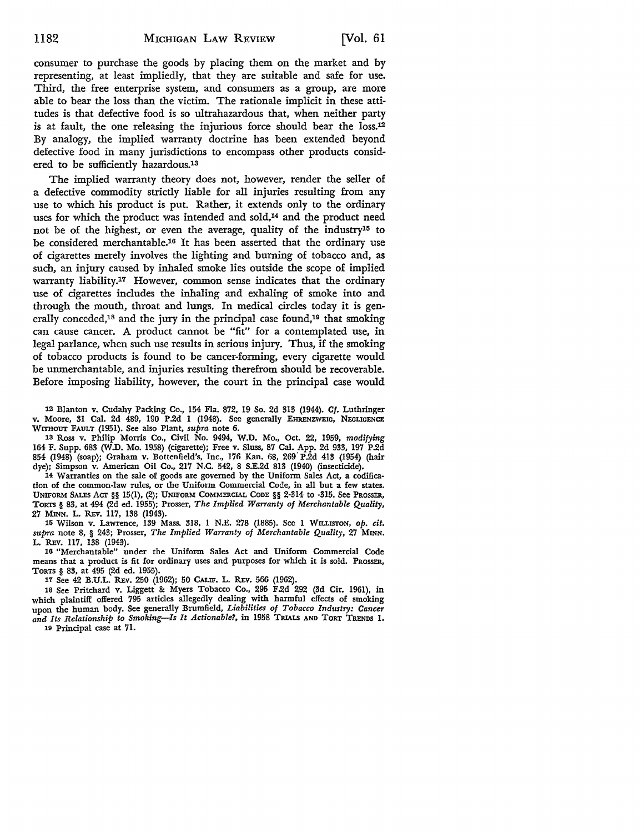consumer to purchase the goods by placing them on the market and by representing, at least impliedly, that they are suitable and safe for use. Third, the free enterprise system, and consumers as a group, are more able to bear the loss than the victim. The rationale implicit in these attitudes is that defective food is so ultrahazardous that, when neither party is at fault, the one releasing the injurious force should bear the loss.12 By analogy, the implied warranty doctrine has been extended beyond defective food in many jurisdictions to encompass other products considered to be sufficiently hazardous.13

The implied warranty theory does not, however, render the seller of a defective commodity strictly liable for all injuries resulting from any use to which his product is put. Rather, it extends only to the ordinary uses for which the product was intended and sold,<sup>14</sup> and the product need not be of the highest, or even the average, quality of the industry15 to be considered merchantable.16 It has been asserted that the ordinary use of cigarettes merely involves the lighting and burning of tobacco and, as such, an injury caused by inhaled smoke lies outside the scope of implied warranty liability.17 However, common sense indicates that the ordinary use of cigarettes includes the inhaling and exhaling of smoke into and through the mouth, throat and lungs. In medical circles today it is generally conceded,<sup>18</sup> and the jury in the principal case found,<sup>19</sup> that smoking can cause cancer. A product cannot be "fit" for a contemplated use, in legal parlance, when such use results in serious injury. Thus, if the smoking of tobacco products is found to be cancer-forming, every cigarette would be unmerchantable, and injuries resulting therefrom should be recoverable. Before imposing liability, however, the court in the principal case would

12 Blanton v. Cudahy Packing Co., 154 Fla. 872, 19 So. 2d 313 (1944). *Cf.* Luthringer v. Moore, 31 Cal. 2d 489, 190 P.2d 1 (1948). See generally EHRENZWEIG, NEGLIGENCE WITHOUT FAULT (1951). See also Plant, *supra* note 6.

13 Ross v. Philip Morris Co., Civil No. 9494, W.D. Mo., Oct. 22, 1959, *modifying*  164 F. Supp. 683 (W.D. Mo. 1958) (cigarette); Free v. Sluss, 87 Cal. App. 2d 933, 197 P.2d 854 (1948) (soap); Graham v. Bottenfield's, Inc., 176 Kan. 68, 269" P.2d 413 (1954) (hair dye); Simpson v. American Oil Co., 217 N.C. 542, 8 S.E.2d 813 (1940) (insecticide).

14 Warranties on the sale of goods are governed by the Uniform Sales Act, a codifica• tion of the common-law rules, or the Uniform Commercial Code, in all but a few states. UNIFORM SALES Acr §§ 15(1), (2); UNIFORM COMMERCIAL CODE §§ 2-314 to -315. See PROSSER, TORTS § 83, at 494 (2d ed. 1955); Prosser, *The Implied Warranty of Merchantable Quality,*  27 MINN. L. REv. 117, 138 (1943).

15 Wilson v. Lawrence, 139 Mass. 318, 1 N.E. 278 (1885). See 1 WILLISTON, *op. cit, supra* note 8, § 243; Prosser, *The Implied Warranty of Merchantable Quality,* 27 **MINN,**  L. REv. 117, 138 (1943).

16 "Merchantable" under the Uniform Sales Act and Uniform Commercial Code means that a product is fit for ordinary uses and purposes for which it is sold. PROSSER, TORTS § 83, at 495 (2d ed. 1955).

17 See 42 B.U.L. REv. 250 (1962); 50 **CALIF,** L. REv. 566 (1962).

1s See Pritchard v. Liggett & Myers Tobacco Co., 295 F.2d 292 (3d Cir. 1961), in which plaintiff offered 795 articles allegedly dealing with harmful effects of smoking upon the human body. See generally Brumfield, *Liabilities of Tobacco Industry: Cancer*  and Its Relationship to Smoking-Is It Actionable?, in 1958 TRIALS AND TORT TRENDS 1.

10 Principal case at 71.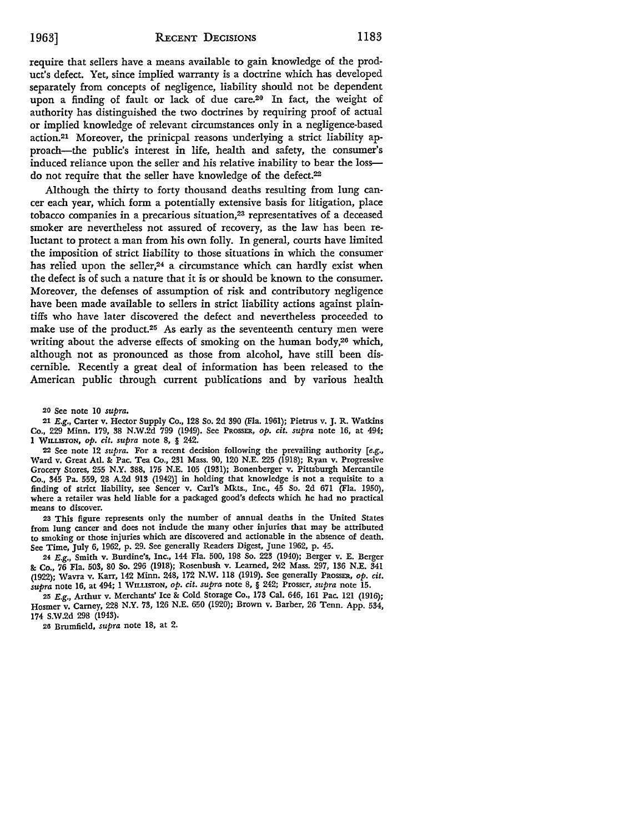## 1963] RECENT DECISIONS 1183

require that sellers have a means available to gain knowledge of the product's defect. Yet, since implied warranty is a doctrine which has developed separately from concepts of negligence, liability should not be dependent upon a finding of fault or lack of due care.<sup>20</sup> In fact, the weight of authority has distinguished the two doctrines by requiring proof of actual or implied knowledge of relevant circumstances only in a negligence-based action.21 Moreover, the prinicpal reasons underlying a strict liability approach-the public's interest in life, health and safety, the consumer's induced reliance upon the seller and his relative inability to bear the lossdo not require that the seller have knowledge of the defect.<sup>22</sup>

Although the thirty to forty thousand deaths resulting from lung cancer each year, which form a potentially extensive basis for litigation, place tobacco companies in a precarious situation,<sup>23</sup> representatives of a deceased smoker are nevertheless not assured of recovery, as the law has been reluctant to protect a man from his own folly. In general, courts have limited the imposition of strict liability to those situations in which the consumer has relied upon the seller,<sup>24</sup> a circumstance which can hardly exist when the defect is of such a nature that it is or should be known to the consumer. Moreover, the defenses of assumption of risk and contributory negligence have been made available to sellers in strict liability actions against plaintiffs who have later discovered the defect and nevertheless proceeded to make use of the product.<sup>25</sup> As early as the seventeenth century men were writing about the adverse effects of smoking on the human body,<sup>26</sup> which, although not as pronounced as those from alcohol, have still been discernible. Recently a great deal of information has been released to the American public through current publications and by various health

20 See note 10 *supra.* 

21 E.g., Carter v. Hector Supply Co., 128 So. 2d 390 (Fla. 1961); Pietrus v. J. R. Watkins Co., 229 Minn. 179, 38 N.W.2d 799 (1949). See PROSSER, *op. cit. supra* note 16, at 494; 1 WILLISTON, *op. cit. supra* note 8, § 242.

22 See note 12 *supra.* For a recent decision following the prevailing authority [e.g., Ward v. Great Atl. &: Pac. Tea Co., 231 Mass. 90, 120 N.E. 225 (1918); Ryan v. Progressive Grocery Stores, 255 N.Y. 388, 175 N.E. 105 (1931); Bonenberger v. Pittsburgh Mercantile Co., 345 Pa. 559, 28 A.2d 913 (1942)] in holding that knowledge is not a requisite to a finding of strict liability, see Sencer v. Carl's Mkts., Inc., 45 So. 2d 671 (Fla. 1950), where a retailer was held liable for a packaged goad's defects which he had no practical means to discover.

23 This figure represents only the number of annual deaths in the United States from lung cancer and does not include the many other injuries that may be attributed to smoking or those injuries which are discovered and actionable in the absence of death. See Time, July 6, 1962, p. 29. See generally Readers Digest, June 1962, p. 45.

24 E.g., Smith v. Burdine's, Inc., 144 Fla. 500, 198 So. 223 (1940); Berger v. E. Berger &: Co., 76 Fla. 503, 80 So. 296 (1918); Rosenbush v. Learned, 242 Mass. 297, 136 N.E. 341 (1922); Wavra v. Karr, 142 Minn. 248, 172 N.W. 118 (1919). See generally PROSSER, *op. cit. supra* note 16, at 494; 1 ·wILusrON, *op. cit. supra* note 8, § 242; Prosser, *supra* note 15.

25 E.g., Arthur v. Merchants' Ice&: Cold Storage Co., 173 Cal. 646, 161 Pac. 121 (1916); Hosmer v. Camey, 228 N.Y. 73, 126 N.E. 650 (1920); Brown v. Barber, 26 Tenn. App. 534, 174 S.W.2d 298 (1943).

20 Brumfield, *supra* note 18, at 2.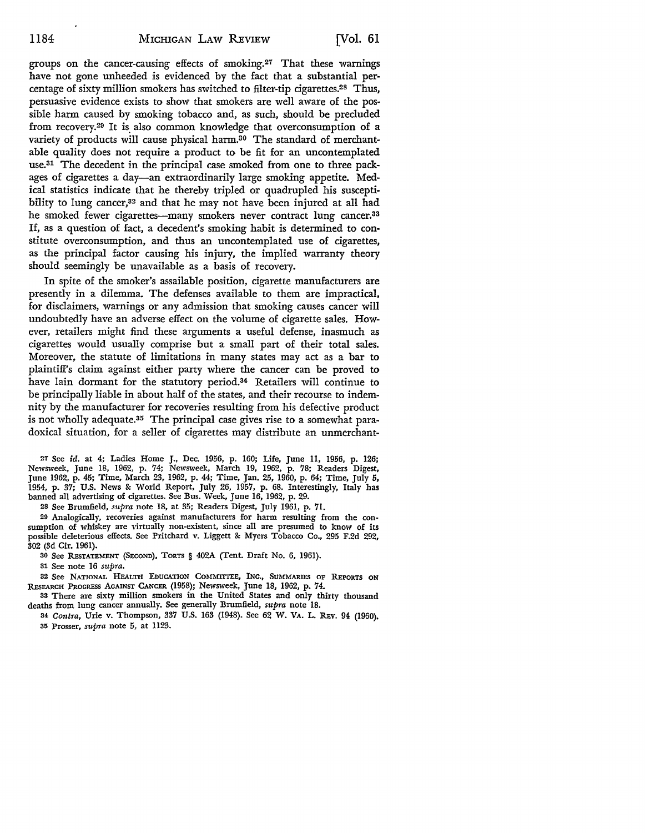groups on the cancer-causing effects of smoking.27 That these warnings have not gone unheeded is evidenced by the fact that a substantial percentage of sixty million smokers has switched to filter-tip cigarettes.28 Thus, persuasive evidence exists to show that smokers are well aware of the possible harm caused by smoking tobacco and, as such, should be precluded from recovery.<sup>29</sup> It is also common knowledge that overconsumption of a variety of products will cause physical harm.<sup>30</sup> The standard of merchantable quality does not require a product to be fit for an uncontemplated use.31 The decedent in the principal case smoked from one to three packages of cigarettes a day-an extraordinarily large smoking appetite. Medical statistics indicate that he thereby tripled or quadrupled his susceptibility to lung cancer,<sup>32</sup> and that he may not have been injured at all had he smoked fewer cigarettes--many smokers never contract lung cancer.<sup>33</sup> If, as a question of fact, a decedent's smoking habit is determined to constitute overconsumption, and thus an uncontemplated use of cigarettes, as the principal factor causing his injury, the implied warranty theory should seemingly be unavailable as a basis of recovery.

In spite of the smoker's assailable position, cigarette manufacturers are presently in a dilemma. The defenses available to them are impractical, for disclaimers, warnings or any admission that smoking causes cancer will undoubtedly have an adverse effect on the volume of cigarette sales. However, retailers might find these arguments a useful defense, inasmuch as cigarettes would usually comprise but a small part of their total sales. Moreover, the statute of limitations in many states may act as a bar to plaintiff's claim against either party where the cancer can be proved to have lain dormant for the statutory period.34 Retailers will continue to be principally liable in about half of the states, and their recourse to indemnity by the manufacturer for recoveries resulting from his defective product is not wholly adequate.35 The principal case gives rise to a somewhat paradoxical situation, for a seller of cigarettes may distribute an unmerchant-

27 See id. at 4; Ladies Home J., Dec. 1956, p. 160; Life, June 11, 1956, p. 126; Newsweek, June 18, 1962, p. 74; Newsweek, March 19, 1962, p. 78; Readers Digest, June 1962, p. 45; Time, March 23, 1962, p. 44; Time, Jan. 25, 1960, p. 64; Time, July 5, 1954, p. 37; U.S. News &: World Report, July 26, 1957, p. 68. Interestingly, Italy has banned all advertising of cigarettes. See Bus. Week, June 16, 1962, p. 29.

28 See Brumfield, *supra* note 18, at 35; Readers Digest, July 1961, p. 71.

29 Analogically, recoveries against manufacturers for harm resulting from the consumption of whiskey are virtually non-existent, since all are presumed to know of its possible deleterious effects. See Pritchard v. Liggett &: Myers Tobacco Co., 295 F.2d 292, 302 (3d Cir. 1961).

30 See REsrATEMENT (SECOND), TORTS § 402A (Tent. Draft No. 6, 1961).

31 See note 16 *supra.* 

32 See NATIONAL HEALTH EDUCATION COMMITTEE, INC., SUMMARIES OF REPORTS ON REsEARCH PROGRESS AGAINST CANCER (1958); Newsweek, June 18, 1962, p. 74.

33 There are sixty million smokers in the United States and only thirty thousand deaths from lung cancer annually. See generally Brumfield, *supra* note 18.

34 *Contra,* Urie v. Thompson, 337 U.S. 163 (1948). See 62 W. VA. L. REv. 94 (1960). 35 Prosser, *supra* note 5, at 1123.